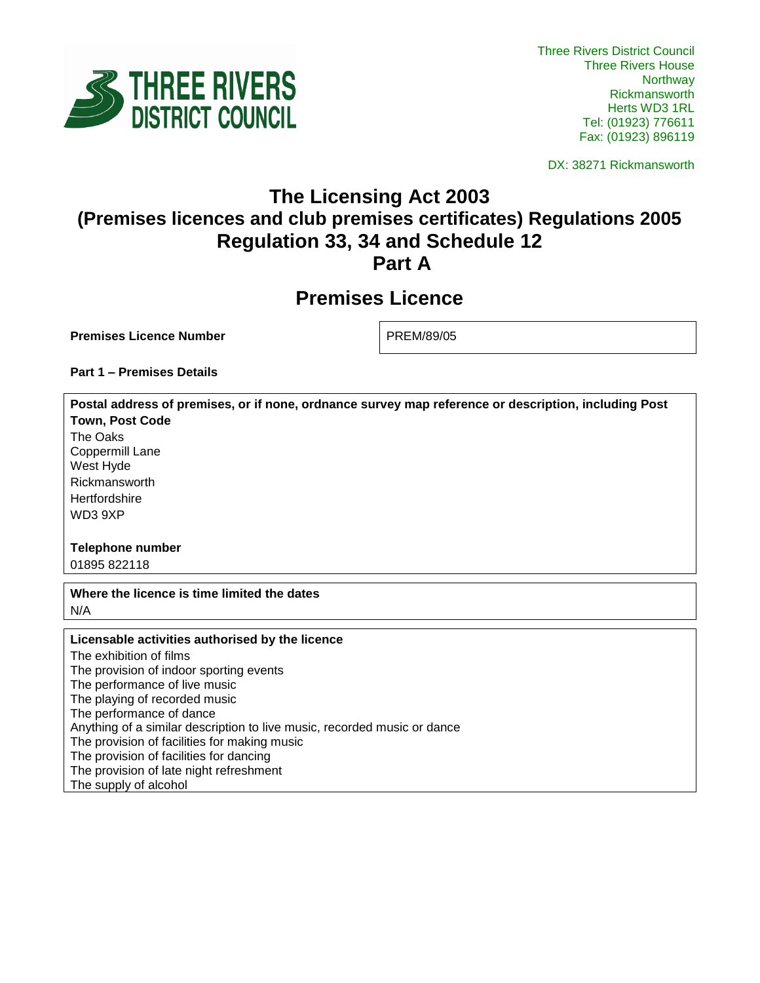

DX: 38271 Rickmansworth

## **The Licensing Act 2003 (Premises licences and club premises certificates) Regulations 2005 Regulation 33, 34 and Schedule 12 Part A**

## **Premises Licence**

**Premises Licence Number** PREM/89/05

**Part 1 – Premises Details**

**Postal address of premises, or if none, ordnance survey map reference or description, including Post Town, Post Code**

The Oaks Coppermill Lane West Hyde Rickmansworth **Hertfordshire** WD3 9XP

**Telephone number** 01895 822118

**Where the licence is time limited the dates** N/A

#### **Licensable activities authorised by the licence**

The exhibition of films The provision of indoor sporting events The performance of live music The playing of recorded music The performance of dance Anything of a similar description to live music, recorded music or dance The provision of facilities for making music The provision of facilities for dancing The provision of late night refreshment The supply of alcohol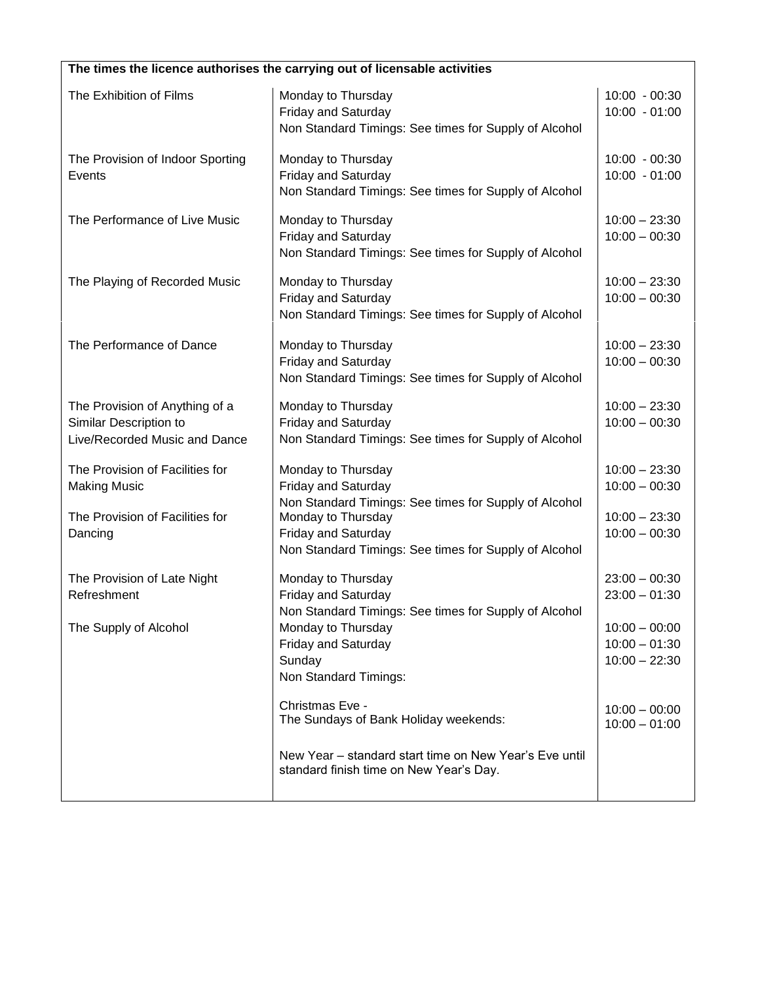| The times the licence authorises the carrying out of licensable activities                |                                                                                                    |                                                       |  |  |
|-------------------------------------------------------------------------------------------|----------------------------------------------------------------------------------------------------|-------------------------------------------------------|--|--|
| The Exhibition of Films                                                                   | Monday to Thursday<br>Friday and Saturday<br>Non Standard Timings: See times for Supply of Alcohol | $10:00 - 00:30$<br>$10:00 - 01:00$                    |  |  |
| The Provision of Indoor Sporting<br>Events                                                | Monday to Thursday<br>Friday and Saturday<br>Non Standard Timings: See times for Supply of Alcohol | $10:00 - 00:30$<br>$10:00 - 01:00$                    |  |  |
| The Performance of Live Music                                                             | Monday to Thursday<br>Friday and Saturday<br>Non Standard Timings: See times for Supply of Alcohol | $10:00 - 23:30$<br>$10:00 - 00:30$                    |  |  |
| The Playing of Recorded Music                                                             | Monday to Thursday<br>Friday and Saturday<br>Non Standard Timings: See times for Supply of Alcohol | $10:00 - 23:30$<br>$10:00 - 00:30$                    |  |  |
| The Performance of Dance                                                                  | Monday to Thursday<br>Friday and Saturday<br>Non Standard Timings: See times for Supply of Alcohol | $10:00 - 23:30$<br>$10:00 - 00:30$                    |  |  |
| The Provision of Anything of a<br>Similar Description to<br>Live/Recorded Music and Dance | Monday to Thursday<br>Friday and Saturday<br>Non Standard Timings: See times for Supply of Alcohol | $10:00 - 23:30$<br>$10:00 - 00:30$                    |  |  |
| The Provision of Facilities for<br><b>Making Music</b>                                    | Monday to Thursday<br>Friday and Saturday<br>Non Standard Timings: See times for Supply of Alcohol | $10:00 - 23:30$<br>$10:00 - 00:30$                    |  |  |
| The Provision of Facilities for<br>Dancing                                                | Monday to Thursday<br>Friday and Saturday<br>Non Standard Timings: See times for Supply of Alcohol | $10:00 - 23:30$<br>$10:00 - 00:30$                    |  |  |
| The Provision of Late Night<br>Refreshment                                                | Monday to Thursday<br>Friday and Saturday<br>Non Standard Timings: See times for Supply of Alcohol | $23:00 - 00:30$<br>$23:00 - 01:30$                    |  |  |
| The Supply of Alcohol                                                                     | Monday to Thursday<br>Friday and Saturday<br>Sunday<br>Non Standard Timings:                       | $10:00 - 00:00$<br>$10:00 - 01:30$<br>$10:00 - 22:30$ |  |  |
|                                                                                           | Christmas Eve -<br>The Sundays of Bank Holiday weekends:                                           | $10:00 - 00:00$<br>$10:00 - 01:00$                    |  |  |
|                                                                                           | New Year - standard start time on New Year's Eve until<br>standard finish time on New Year's Day.  |                                                       |  |  |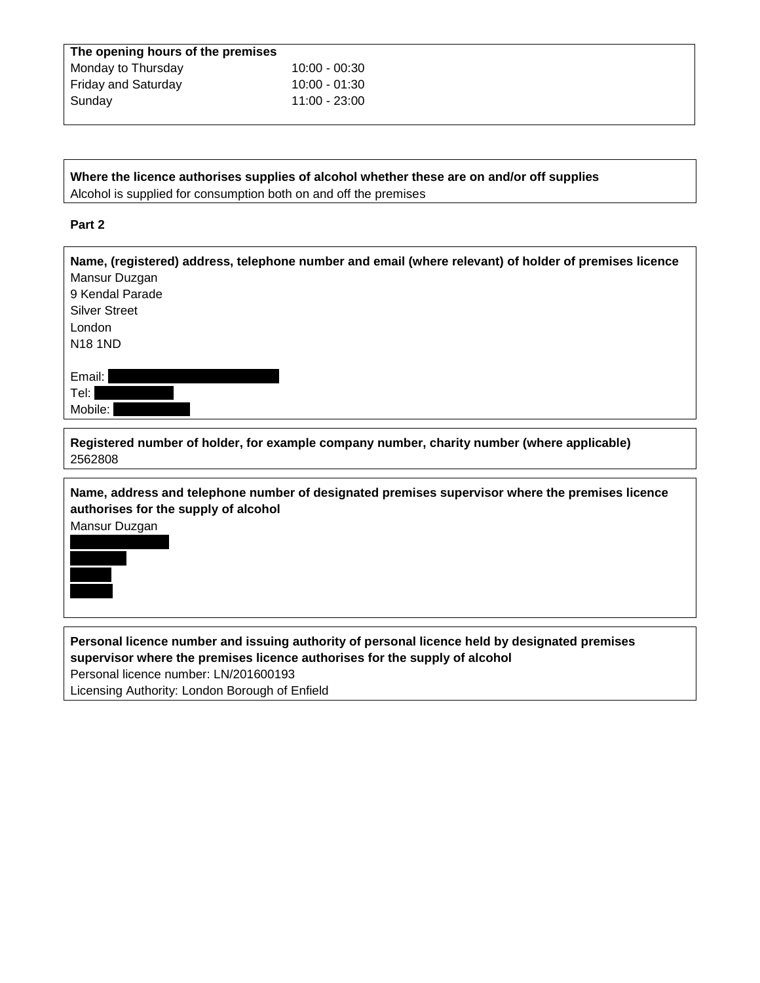| $10:00 - 00:30$ |  |
|-----------------|--|
|                 |  |
| 10:00 - 01:30   |  |
| $11:00 - 23:00$ |  |
|                 |  |

**Where the licence authorises supplies of alcohol whether these are on and/or off supplies** Alcohol is supplied for consumption both on and off the premises

#### **Part 2**

**Name, (registered) address, telephone number and email (where relevant) of holder of premises licence** Mansur Duzgan 9 Kendal Parade Silver Street London N18 1ND Email:  $Tel: 1$ Mobile: **Registered number of holder, for example company number, charity number (where applicable)** 2562808

**Name, address and telephone number of designated premises supervisor where the premises licence authorises for the supply of alcohol**

Mansur Duzgan

**Personal licence number and issuing authority of personal licence held by designated premises supervisor where the premises licence authorises for the supply of alcohol**

Personal licence number: LN/201600193

Licensing Authority: London Borough of Enfield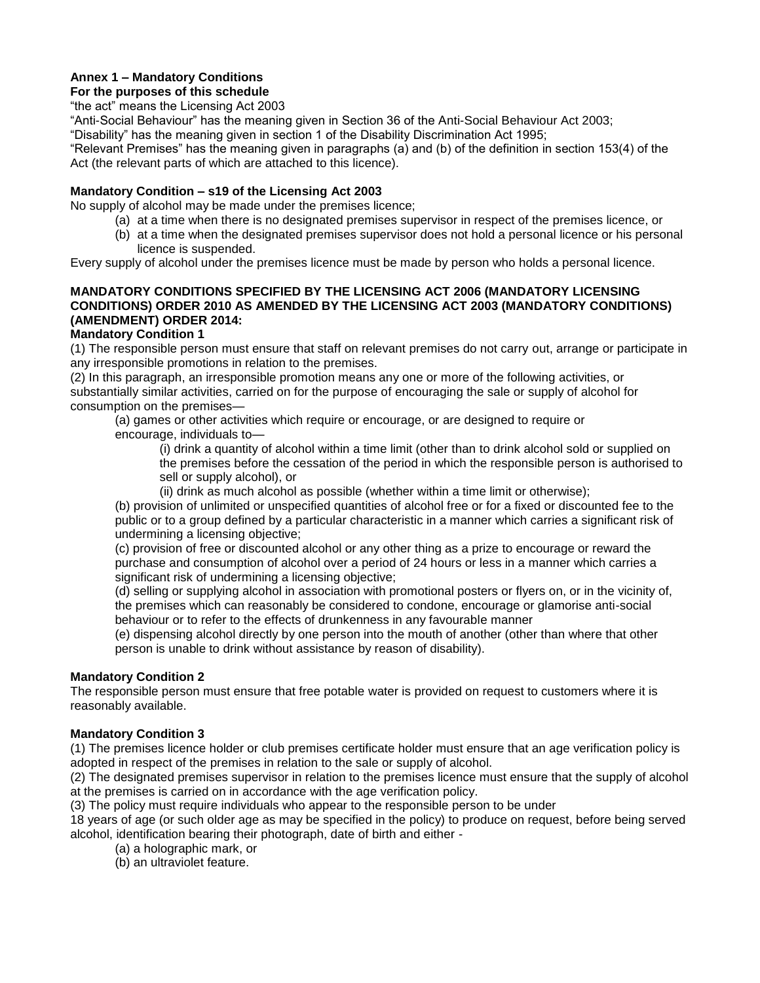#### **Annex 1 – Mandatory Conditions**

#### **For the purposes of this schedule**

"the act" means the Licensing Act 2003

"Anti-Social Behaviour" has the meaning given in Section 36 of the Anti-Social Behaviour Act 2003;

"Disability" has the meaning given in section 1 of the Disability Discrimination Act 1995;

"Relevant Premises" has the meaning given in paragraphs (a) and (b) of the definition in section 153(4) of the Act (the relevant parts of which are attached to this licence).

#### **Mandatory Condition – s19 of the Licensing Act 2003**

No supply of alcohol may be made under the premises licence;

- (a) at a time when there is no designated premises supervisor in respect of the premises licence, or
- (b) at a time when the designated premises supervisor does not hold a personal licence or his personal licence is suspended.

Every supply of alcohol under the premises licence must be made by person who holds a personal licence.

#### **MANDATORY CONDITIONS SPECIFIED BY THE LICENSING ACT 2006 (MANDATORY LICENSING CONDITIONS) ORDER 2010 AS AMENDED BY THE LICENSING ACT 2003 (MANDATORY CONDITIONS) (AMENDMENT) ORDER 2014:**

#### **Mandatory Condition 1**

(1) The responsible person must ensure that staff on relevant premises do not carry out, arrange or participate in any irresponsible promotions in relation to the premises.

(2) In this paragraph, an irresponsible promotion means any one or more of the following activities, or substantially similar activities, carried on for the purpose of encouraging the sale or supply of alcohol for consumption on the premises—

(a) games or other activities which require or encourage, or are designed to require or encourage, individuals to—

(i) drink a quantity of alcohol within a time limit (other than to drink alcohol sold or supplied on the premises before the cessation of the period in which the responsible person is authorised to sell or supply alcohol), or

(ii) drink as much alcohol as possible (whether within a time limit or otherwise);

(b) provision of unlimited or unspecified quantities of alcohol free or for a fixed or discounted fee to the public or to a group defined by a particular characteristic in a manner which carries a significant risk of undermining a licensing objective;

(c) provision of free or discounted alcohol or any other thing as a prize to encourage or reward the purchase and consumption of alcohol over a period of 24 hours or less in a manner which carries a significant risk of undermining a licensing objective;

(d) selling or supplying alcohol in association with promotional posters or flyers on, or in the vicinity of, the premises which can reasonably be considered to condone, encourage or glamorise anti-social behaviour or to refer to the effects of drunkenness in any favourable manner

(e) dispensing alcohol directly by one person into the mouth of another (other than where that other person is unable to drink without assistance by reason of disability).

#### **Mandatory Condition 2**

The responsible person must ensure that free potable water is provided on request to customers where it is reasonably available.

#### **Mandatory Condition 3**

(1) The premises licence holder or club premises certificate holder must ensure that an age verification policy is adopted in respect of the premises in relation to the sale or supply of alcohol.

(2) The designated premises supervisor in relation to the premises licence must ensure that the supply of alcohol at the premises is carried on in accordance with the age verification policy.

(3) The policy must require individuals who appear to the responsible person to be under

18 years of age (or such older age as may be specified in the policy) to produce on request, before being served alcohol, identification bearing their photograph, date of birth and either -

(a) a holographic mark, or

(b) an ultraviolet feature.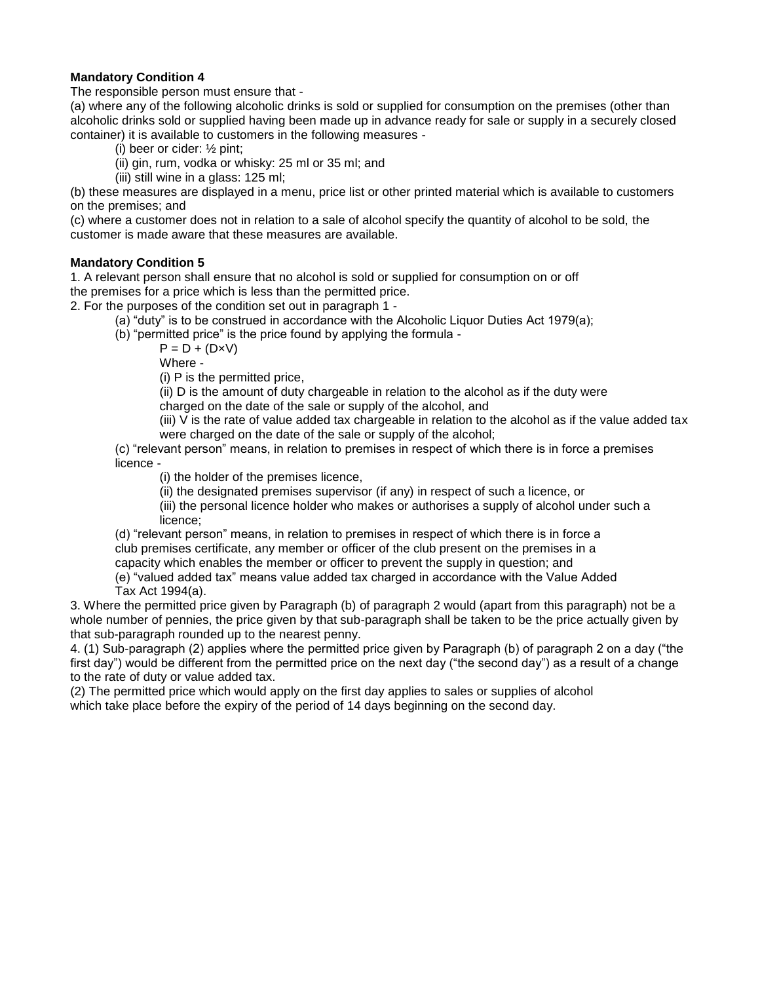#### **Mandatory Condition 4**

The responsible person must ensure that -

(a) where any of the following alcoholic drinks is sold or supplied for consumption on the premises (other than alcoholic drinks sold or supplied having been made up in advance ready for sale or supply in a securely closed container) it is available to customers in the following measures -

(i) beer or cider: ½ pint;

(ii) gin, rum, vodka or whisky: 25 ml or 35 ml; and

(iii) still wine in a glass: 125 ml;

(b) these measures are displayed in a menu, price list or other printed material which is available to customers on the premises; and

(c) where a customer does not in relation to a sale of alcohol specify the quantity of alcohol to be sold, the customer is made aware that these measures are available.

#### **Mandatory Condition 5**

1. A relevant person shall ensure that no alcohol is sold or supplied for consumption on or off the premises for a price which is less than the permitted price.

2. For the purposes of the condition set out in paragraph 1 -

(a) "duty" is to be construed in accordance with the Alcoholic Liquor Duties Act 1979(a);

(b) "permitted price" is the price found by applying the formula -

 $P = D + (D \times V)$ 

Where -

(i) P is the permitted price,

(ii) D is the amount of duty chargeable in relation to the alcohol as if the duty were

charged on the date of the sale or supply of the alcohol, and

(iii) V is the rate of value added tax chargeable in relation to the alcohol as if the value added tax were charged on the date of the sale or supply of the alcohol;

(c) "relevant person" means, in relation to premises in respect of which there is in force a premises licence -

(i) the holder of the premises licence,

(ii) the designated premises supervisor (if any) in respect of such a licence, or

(iii) the personal licence holder who makes or authorises a supply of alcohol under such a licence;

(d) "relevant person" means, in relation to premises in respect of which there is in force a club premises certificate, any member or officer of the club present on the premises in a capacity which enables the member or officer to prevent the supply in question; and

(e) "valued added tax" means value added tax charged in accordance with the Value Added Tax Act 1994(a).

3. Where the permitted price given by Paragraph (b) of paragraph 2 would (apart from this paragraph) not be a whole number of pennies, the price given by that sub-paragraph shall be taken to be the price actually given by that sub-paragraph rounded up to the nearest penny.

4. (1) Sub-paragraph (2) applies where the permitted price given by Paragraph (b) of paragraph 2 on a day ("the first day") would be different from the permitted price on the next day ("the second day") as a result of a change to the rate of duty or value added tax.

(2) The permitted price which would apply on the first day applies to sales or supplies of alcohol which take place before the expiry of the period of 14 days beginning on the second day.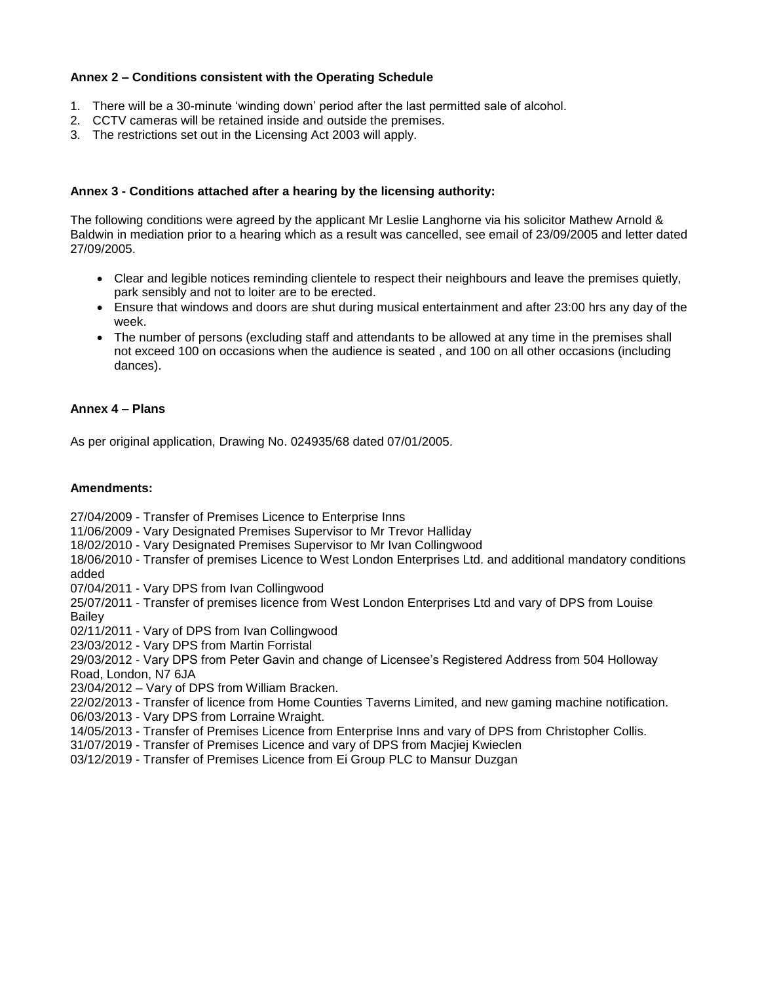#### **Annex 2 – Conditions consistent with the Operating Schedule**

- 1. There will be a 30-minute 'winding down' period after the last permitted sale of alcohol.
- 2. CCTV cameras will be retained inside and outside the premises.
- 3. The restrictions set out in the Licensing Act 2003 will apply.

#### **Annex 3 - Conditions attached after a hearing by the licensing authority:**

The following conditions were agreed by the applicant Mr Leslie Langhorne via his solicitor Mathew Arnold & Baldwin in mediation prior to a hearing which as a result was cancelled, see email of 23/09/2005 and letter dated 27/09/2005.

- Clear and legible notices reminding clientele to respect their neighbours and leave the premises quietly, park sensibly and not to loiter are to be erected.
- Ensure that windows and doors are shut during musical entertainment and after 23:00 hrs any day of the week.
- The number of persons (excluding staff and attendants to be allowed at any time in the premises shall not exceed 100 on occasions when the audience is seated , and 100 on all other occasions (including dances).

#### **Annex 4 – Plans**

As per original application, Drawing No. 024935/68 dated 07/01/2005.

#### **Amendments:**

27/04/2009 - Transfer of Premises Licence to Enterprise Inns

11/06/2009 - Vary Designated Premises Supervisor to Mr Trevor Halliday

18/02/2010 - Vary Designated Premises Supervisor to Mr Ivan Collingwood

18/06/2010 - Transfer of premises Licence to West London Enterprises Ltd. and additional mandatory conditions added

07/04/2011 - Vary DPS from Ivan Collingwood

25/07/2011 - Transfer of premises licence from West London Enterprises Ltd and vary of DPS from Louise **Bailey** 

02/11/2011 - Vary of DPS from Ivan Collingwood

23/03/2012 - Vary DPS from Martin Forristal

29/03/2012 - Vary DPS from Peter Gavin and change of Licensee's Registered Address from 504 Holloway Road, London, N7 6JA

23/04/2012 – Vary of DPS from William Bracken.

22/02/2013 - Transfer of licence from Home Counties Taverns Limited, and new gaming machine notification.

06/03/2013 - Vary DPS from Lorraine Wraight.

14/05/2013 - Transfer of Premises Licence from Enterprise Inns and vary of DPS from Christopher Collis.

31/07/2019 - Transfer of Premises Licence and vary of DPS from Macjiej Kwieclen

03/12/2019 - Transfer of Premises Licence from Ei Group PLC to Mansur Duzgan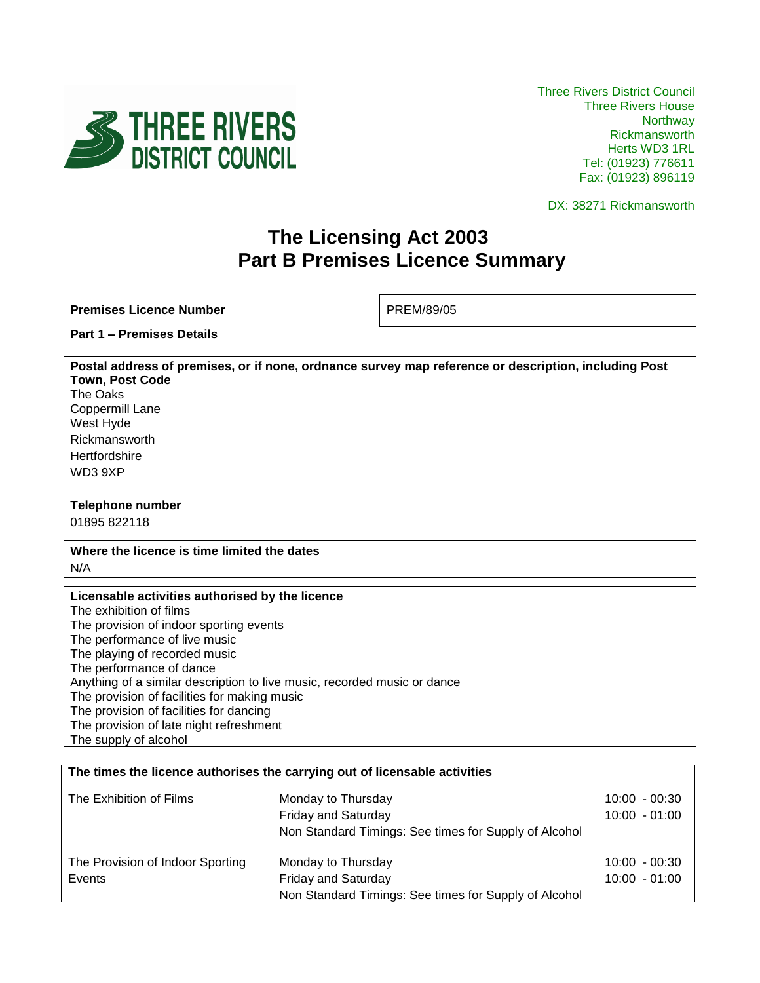

DX: 38271 Rickmansworth

# **The Licensing Act 2003 Part B Premises Licence Summary**

**Premises Licence Number** PREM/89/05

**Part 1 – Premises Details**

| Postal address of premises, or if none, ordnance survey map reference or description, including Post |
|------------------------------------------------------------------------------------------------------|
| <b>Town, Post Code</b>                                                                               |
| The Oaks                                                                                             |
| Coppermill Lane                                                                                      |
| West Hyde                                                                                            |
| Rickmansworth                                                                                        |
| Hertfordshire                                                                                        |
| WD3 9XP                                                                                              |
| Telephone number                                                                                     |
| 01895 822118                                                                                         |

**Where the licence is time limited the dates** N/A

| Licensable activities authorised by the licence                          |
|--------------------------------------------------------------------------|
| The exhibition of films                                                  |
| The provision of indoor sporting events                                  |
| The performance of live music                                            |
| The playing of recorded music                                            |
| The performance of dance                                                 |
| Anything of a similar description to live music, recorded music or dance |
| The provision of facilities for making music                             |
| The provision of facilities for dancing                                  |
| The provision of late night refreshment                                  |
| The supply of alcohol                                                    |

| The times the licence authorises the carrying out of licensable activities |                                                       |                 |
|----------------------------------------------------------------------------|-------------------------------------------------------|-----------------|
| The Exhibition of Films                                                    | Monday to Thursday                                    | $10:00 - 00:30$ |
|                                                                            | <b>Friday and Saturday</b>                            | $10:00 - 01:00$ |
|                                                                            | Non Standard Timings: See times for Supply of Alcohol |                 |
| The Provision of Indoor Sporting                                           | Monday to Thursday                                    | $10:00 - 00:30$ |
| Events                                                                     | <b>Friday and Saturday</b>                            | $10:00 - 01:00$ |
|                                                                            | Non Standard Timings: See times for Supply of Alcohol |                 |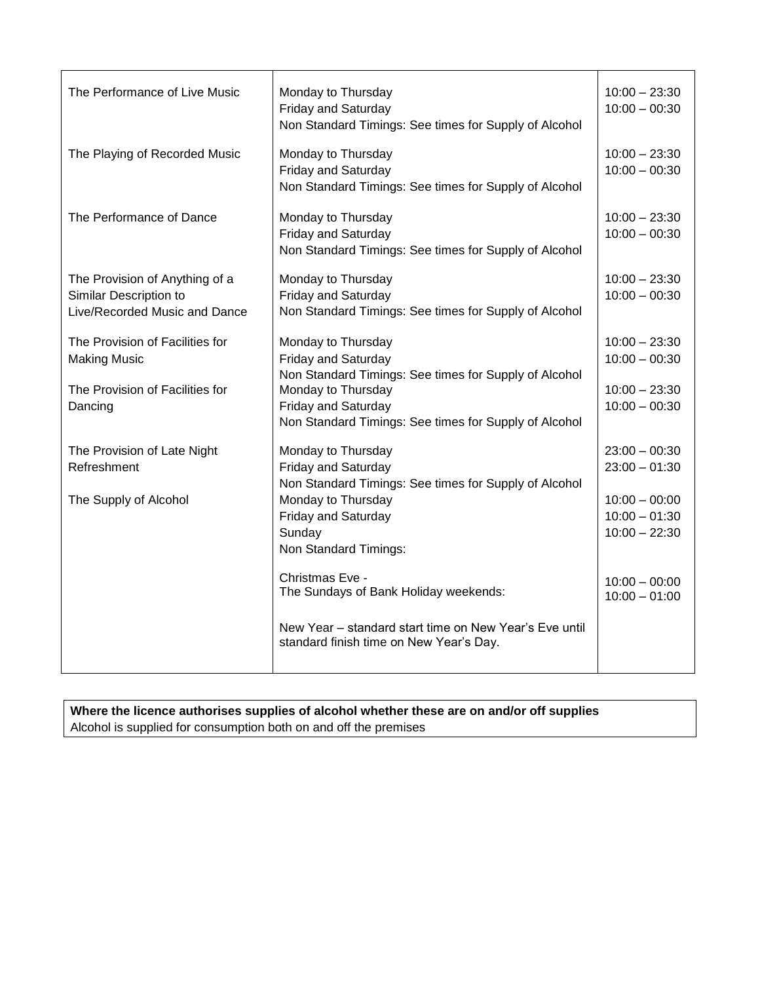| The Performance of Live Music                                                             | Monday to Thursday<br>Friday and Saturday<br>Non Standard Timings: See times for Supply of Alcohol        | $10:00 - 23:30$<br>$10:00 - 00:30$                    |
|-------------------------------------------------------------------------------------------|-----------------------------------------------------------------------------------------------------------|-------------------------------------------------------|
| The Playing of Recorded Music                                                             | Monday to Thursday<br>Friday and Saturday<br>Non Standard Timings: See times for Supply of Alcohol        | $10:00 - 23:30$<br>$10:00 - 00:30$                    |
| The Performance of Dance                                                                  | Monday to Thursday<br><b>Friday and Saturday</b><br>Non Standard Timings: See times for Supply of Alcohol | $10:00 - 23:30$<br>$10:00 - 00:30$                    |
| The Provision of Anything of a<br>Similar Description to<br>Live/Recorded Music and Dance | Monday to Thursday<br>Friday and Saturday<br>Non Standard Timings: See times for Supply of Alcohol        | $10:00 - 23:30$<br>$10:00 - 00:30$                    |
| The Provision of Facilities for<br><b>Making Music</b>                                    | Monday to Thursday<br>Friday and Saturday<br>Non Standard Timings: See times for Supply of Alcohol        | $10:00 - 23:30$<br>$10:00 - 00:30$                    |
| The Provision of Facilities for<br>Dancing                                                | Monday to Thursday<br>Friday and Saturday<br>Non Standard Timings: See times for Supply of Alcohol        | $10:00 - 23:30$<br>$10:00 - 00:30$                    |
| The Provision of Late Night<br>Refreshment                                                | Monday to Thursday<br><b>Friday and Saturday</b><br>Non Standard Timings: See times for Supply of Alcohol | $23:00 - 00:30$<br>$23:00 - 01:30$                    |
| The Supply of Alcohol                                                                     | Monday to Thursday<br>Friday and Saturday<br>Sunday<br>Non Standard Timings:                              | $10:00 - 00:00$<br>$10:00 - 01:30$<br>$10:00 - 22:30$ |
|                                                                                           | Christmas Eve -<br>The Sundays of Bank Holiday weekends:                                                  | $10:00 - 00:00$<br>$10:00 - 01:00$                    |
|                                                                                           | New Year - standard start time on New Year's Eve until<br>standard finish time on New Year's Day.         |                                                       |

**Where the licence authorises supplies of alcohol whether these are on and/or off supplies** Alcohol is supplied for consumption both on and off the premises